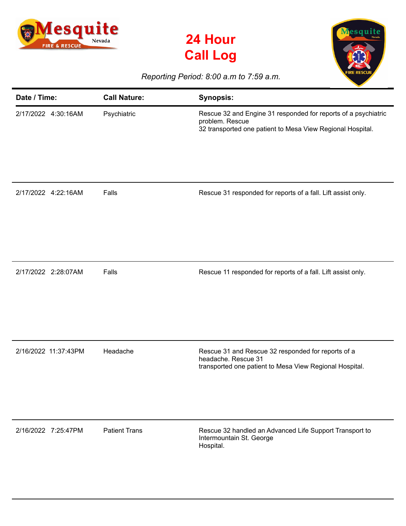





## *Reporting Period: 8:00 a.m to 7:59 a.m.*

| Date / Time:         | <b>Call Nature:</b>  | <b>Synopsis:</b>                                                                                                                                |
|----------------------|----------------------|-------------------------------------------------------------------------------------------------------------------------------------------------|
| 2/17/2022 4:30:16AM  | Psychiatric          | Rescue 32 and Engine 31 responded for reports of a psychiatric<br>problem. Rescue<br>32 transported one patient to Mesa View Regional Hospital. |
| 2/17/2022 4:22:16AM  | Falls                | Rescue 31 responded for reports of a fall. Lift assist only.                                                                                    |
| 2/17/2022 2:28:07AM  | Falls                | Rescue 11 responded for reports of a fall. Lift assist only.                                                                                    |
| 2/16/2022 11:37:43PM | Headache             | Rescue 31 and Rescue 32 responded for reports of a<br>headache. Rescue 31<br>transported one patient to Mesa View Regional Hospital.            |
| 2/16/2022 7:25:47PM  | <b>Patient Trans</b> | Rescue 32 handled an Advanced Life Support Transport to<br>Intermountain St. George<br>Hospital.                                                |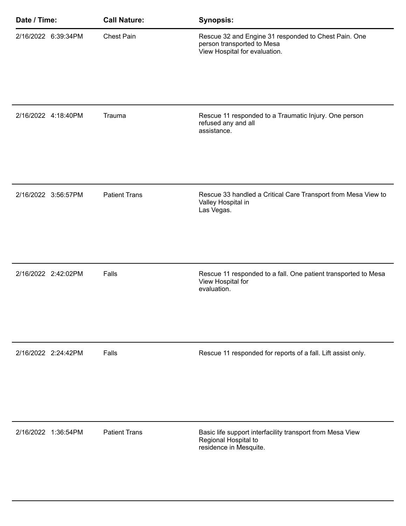| Date / Time: |                     | <b>Call Nature:</b>  | <b>Synopsis:</b>                                                                                                    |
|--------------|---------------------|----------------------|---------------------------------------------------------------------------------------------------------------------|
|              | 2/16/2022 6:39:34PM | Chest Pain           | Rescue 32 and Engine 31 responded to Chest Pain. One<br>person transported to Mesa<br>View Hospital for evaluation. |
|              | 2/16/2022 4:18:40PM | Trauma               | Rescue 11 responded to a Traumatic Injury. One person<br>refused any and all<br>assistance.                         |
|              | 2/16/2022 3:56:57PM | <b>Patient Trans</b> | Rescue 33 handled a Critical Care Transport from Mesa View to<br>Valley Hospital in<br>Las Vegas.                   |
|              | 2/16/2022 2:42:02PM | Falls                | Rescue 11 responded to a fall. One patient transported to Mesa<br>View Hospital for<br>evaluation.                  |
|              | 2/16/2022 2:24:42PM | Falls                | Rescue 11 responded for reports of a fall. Lift assist only.                                                        |
|              | 2/16/2022 1:36:54PM | <b>Patient Trans</b> | Basic life support interfacility transport from Mesa View<br>Regional Hospital to<br>residence in Mesquite.         |